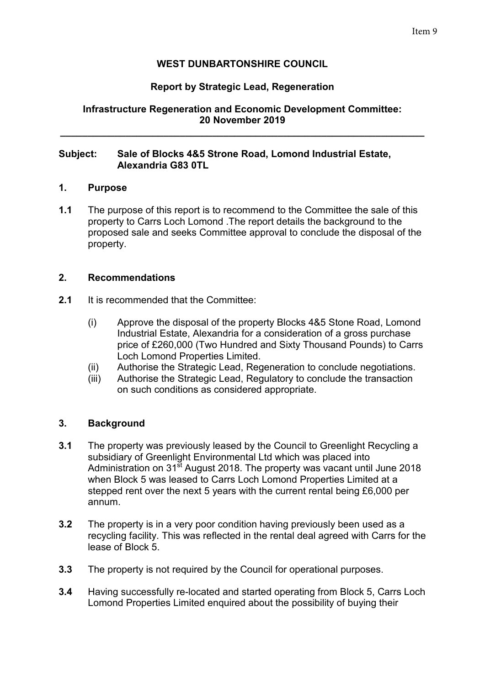# **WEST DUNBARTONSHIRE COUNCIL**

## **Report by Strategic Lead, Regeneration**

## **Infrastructure Regeneration and Economic Development Committee: 20 November 2019**

**\_\_\_\_\_\_\_\_\_\_\_\_\_\_\_\_\_\_\_\_\_\_\_\_\_\_\_\_\_\_\_\_\_\_\_\_\_\_\_\_\_\_\_\_\_\_\_\_\_\_\_\_\_\_\_\_\_\_\_\_\_\_\_\_\_\_\_** 

#### **Subject: Sale of Blocks 4&5 Strone Road, Lomond Industrial Estate, Alexandria G83 0TL**

#### **1. Purpose**

**1.1** The purpose of this report is to recommend to the Committee the sale of this property to Carrs Loch Lomond .The report details the background to the proposed sale and seeks Committee approval to conclude the disposal of the property.

#### **2. Recommendations**

- **2.1** It is recommended that the Committee:
	- (i) Approve the disposal of the property Blocks 4&5 Stone Road, Lomond Industrial Estate, Alexandria for a consideration of a gross purchase price of £260,000 (Two Hundred and Sixty Thousand Pounds) to Carrs Loch Lomond Properties Limited.
	- (ii) Authorise the Strategic Lead, Regeneration to conclude negotiations.
	- (iii) Authorise the Strategic Lead, Regulatory to conclude the transaction on such conditions as considered appropriate.

#### **3. Background**

- **3.1** The property was previously leased by the Council to Greenlight Recycling a subsidiary of Greenlight Environmental Ltd which was placed into Administration on 31<sup>st</sup> August 2018. The property was vacant until June 2018 when Block 5 was leased to Carrs Loch Lomond Properties Limited at a stepped rent over the next 5 years with the current rental being £6,000 per annum.
- **3.2** The property is in a very poor condition having previously been used as a recycling facility. This was reflected in the rental deal agreed with Carrs for the lease of Block 5.
- **3.3** The property is not required by the Council for operational purposes.
- **3.4** Having successfully re-located and started operating from Block 5, Carrs Loch Lomond Properties Limited enquired about the possibility of buying their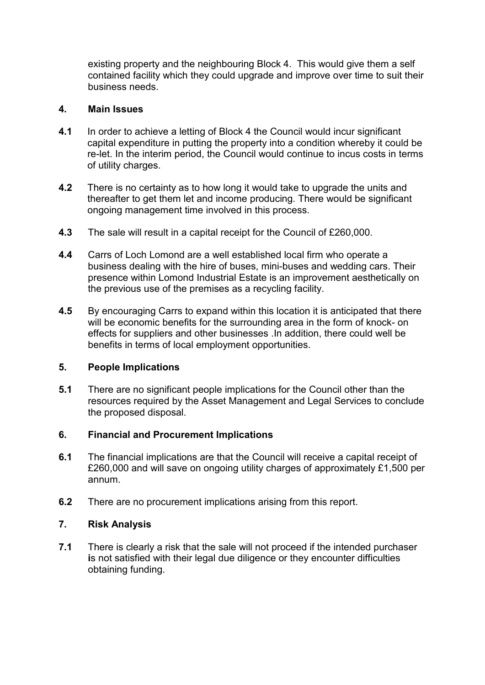existing property and the neighbouring Block 4. This would give them a self contained facility which they could upgrade and improve over time to suit their business needs.

## **4. Main Issues**

- **4.1** In order to achieve a letting of Block 4 the Council would incur significant capital expenditure in putting the property into a condition whereby it could be re-let. In the interim period, the Council would continue to incus costs in terms of utility charges.
- **4.2** There is no certainty as to how long it would take to upgrade the units and thereafter to get them let and income producing. There would be significant ongoing management time involved in this process.
- **4.3** The sale will result in a capital receipt for the Council of £260,000.
- **4.4** Carrs of Loch Lomond are a well established local firm who operate a business dealing with the hire of buses, mini-buses and wedding cars. Their presence within Lomond Industrial Estate is an improvement aesthetically on the previous use of the premises as a recycling facility.
- **4.5** By encouraging Carrs to expand within this location it is anticipated that there will be economic benefits for the surrounding area in the form of knock- on effects for suppliers and other businesses .In addition, there could well be benefits in terms of local employment opportunities.

#### **5. People Implications**

**5.1** There are no significant people implications for the Council other than the resources required by the Asset Management and Legal Services to conclude the proposed disposal.

# **6. Financial and Procurement Implications**

- **6.1** The financial implications are that the Council will receive a capital receipt of £260,000 and will save on ongoing utility charges of approximately £1,500 per annum.
- **6.2** There are no procurement implications arising from this report.

# **7. Risk Analysis**

**7.1** There is clearly a risk that the sale will not proceed if the intended purchaser **i**s not satisfied with their legal due diligence or they encounter difficulties obtaining funding.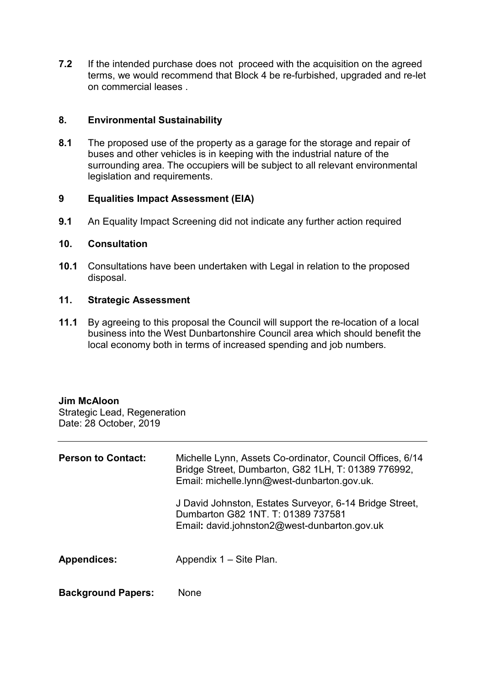**7.2** If the intended purchase does not proceed with the acquisition on the agreed terms, we would recommend that Block 4 be re-furbished, upgraded and re-let on commercial leases .

## **8. Environmental Sustainability**

**8.1** The proposed use of the property as a garage for the storage and repair of buses and other vehicles is in keeping with the industrial nature of the surrounding area. The occupiers will be subject to all relevant environmental legislation and requirements.

#### **9 Equalities Impact Assessment (EIA)**

**9.1** An Equality Impact Screening did not indicate any further action required

#### **10. Consultation**

**10.1** Consultations have been undertaken with Legal in relation to the proposed disposal.

#### **11. Strategic Assessment**

**11.1** By agreeing to this proposal the Council will support the re-location of a local business into the West Dunbartonshire Council area which should benefit the local economy both in terms of increased spending and job numbers.

# **Jim McAloon**

Strategic Lead, Regeneration Date: 28 October, 2019

| <b>Person to Contact:</b> | Michelle Lynn, Assets Co-ordinator, Council Offices, 6/14<br>Bridge Street, Dumbarton, G82 1LH, T: 01389 776992,<br>Email: michelle.lynn@west-dunbarton.gov.uk. |
|---------------------------|-----------------------------------------------------------------------------------------------------------------------------------------------------------------|
|                           | J David Johnston, Estates Surveyor, 6-14 Bridge Street,<br>Dumbarton G82 1NT, T: 01389 737581<br>Email: david.johnston2@west-dunbarton.gov.uk                   |
| <b>Appendices:</b>        | Appendix 1 – Site Plan.                                                                                                                                         |
| <b>Background Papers:</b> | None                                                                                                                                                            |